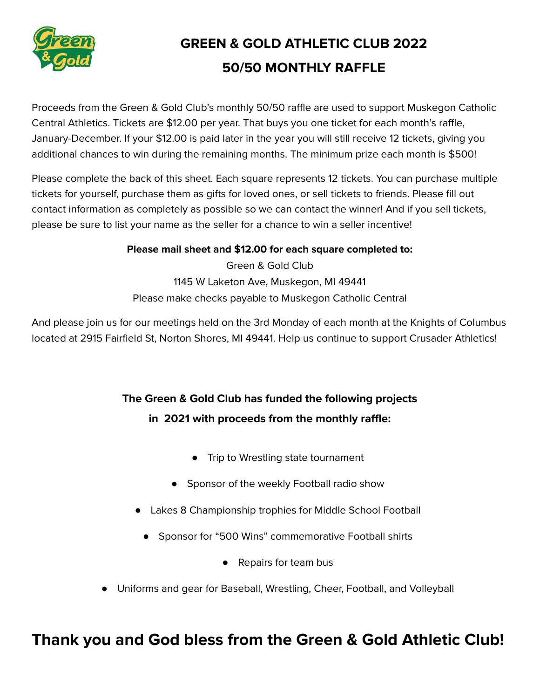

## **GREEN & GOLD ATHLETIC CLUB 2022 50/50 MONTHLY RAFFLE**

Proceeds from the Green & Gold Club's monthly 50/50 raffle are used to support Muskegon Catholic Central Athletics. Tickets are \$12.00 per year. That buys you one ticket for each month's raffle, January-December. If your \$12.00 is paid later in the year you will still receive 12 tickets, giving you additional chances to win during the remaining months. The minimum prize each month is \$500!

Please complete the back of this sheet. Each square represents 12 tickets. You can purchase multiple tickets for yourself, purchase them as gifts for loved ones, or sell tickets to friends. Please fill out contact information as completely as possible so we can contact the winner! And if you sell tickets, please be sure to list your name as the seller for a chance to win a seller incentive!

## **Please mail sheet and \$12.00 for each square completed to:**

Green & Gold Club 1145 W Laketon Ave, Muskegon, MI 49441 Please make checks payable to Muskegon Catholic Central

And please join us for our meetings held on the 3rd Monday of each month at the Knights of Columbus located at 2915 Fairfield St, Norton Shores, MI 49441. Help us continue to support Crusader Athletics!

## **The Green & Gold Club has funded the following projects in 2021 with proceeds from the monthly raffle:**

- Trip to Wrestling state tournament
- Sponsor of the weekly Football radio show
- Lakes 8 Championship trophies for Middle School Football
	- Sponsor for "500 Wins" commemorative Football shirts
		- Repairs for team bus
- Uniforms and gear for Baseball, Wrestling, Cheer, Football, and Volleyball

**Thank you and God bless from the Green & Gold Athletic Club!**